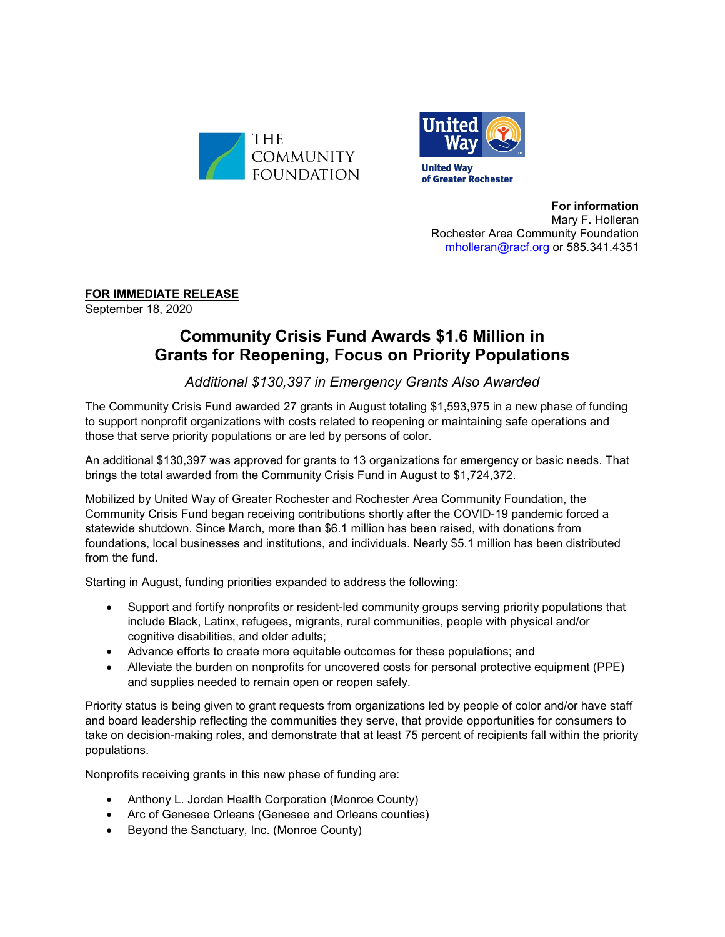



**For information** Mary F. Holleran Rochester Area Community Foundation [mholleran@racf.org](mailto:mholleran@racf.org) or 585.341.4351

**FOR IMMEDIATE RELEASE**

September 18, 2020

## **Community Crisis Fund Awards \$1.6 Million in Grants for Reopening, Focus on Priority Populations**

## *Additional \$130,397 in Emergency Grants Also Awarded*

The Community Crisis Fund awarded 27 grants in August totaling \$1,593,975 in a new phase of funding to support nonprofit organizations with costs related to reopening or maintaining safe operations and those that serve priority populations or are led by persons of color.

An additional \$130,397 was approved for grants to 13 organizations for emergency or basic needs. That brings the total awarded from the Community Crisis Fund in August to \$1,724,372.

Mobilized by United Way of Greater Rochester and Rochester Area Community Foundation, the Community Crisis Fund began receiving contributions shortly after the COVID-19 pandemic forced a statewide shutdown. Since March, more than \$6.1 million has been raised, with donations from foundations, local businesses and institutions, and individuals. Nearly \$5.1 million has been distributed from the fund.

Starting in August, funding priorities expanded to address the following:

- Support and fortify nonprofits or resident-led community groups serving priority populations that include Black, Latinx, refugees, migrants, rural communities, people with physical and/or cognitive disabilities, and older adults;
- Advance efforts to create more equitable outcomes for these populations; and
- Alleviate the burden on nonprofits for uncovered costs for personal protective equipment (PPE) and supplies needed to remain open or reopen safely.

Priority status is being given to grant requests from organizations led by people of color and/or have staff and board leadership reflecting the communities they serve, that provide opportunities for consumers to take on decision-making roles, and demonstrate that at least 75 percent of recipients fall within the priority populations.

Nonprofits receiving grants in this new phase of funding are:

- Anthony L. Jordan Health Corporation (Monroe County)
- Arc of Genesee Orleans (Genesee and Orleans counties)
- Beyond the Sanctuary, Inc. (Monroe County)